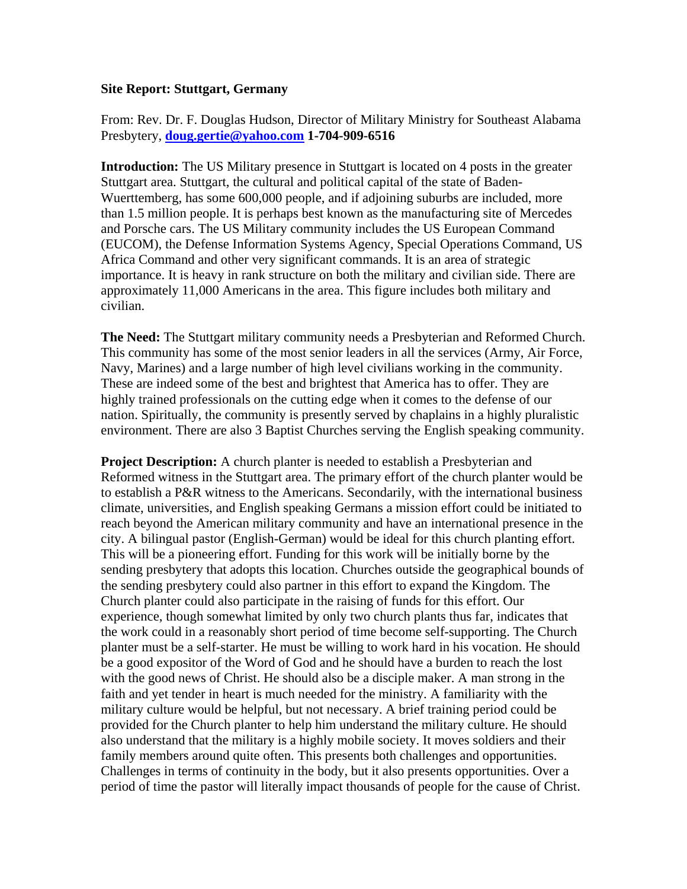## **Site Report: Stuttgart, Germany**

From: Rev. Dr. F. Douglas Hudson, Director of Military Ministry for Southeast Alabama Presbytery, **[doug.gertie@yahoo.com](mailto:doug.gertie@yahoo.com) 1-704-909-6516**

**Introduction:** The US Military presence in Stuttgart is located on 4 posts in the greater Stuttgart area. Stuttgart, the cultural and political capital of the state of Baden-Wuerttemberg, has some 600,000 people, and if adjoining suburbs are included, more than 1.5 million people. It is perhaps best known as the manufacturing site of Mercedes and Porsche cars. The US Military community includes the US European Command (EUCOM), the Defense Information Systems Agency, Special Operations Command, US Africa Command and other very significant commands. It is an area of strategic importance. It is heavy in rank structure on both the military and civilian side. There are approximately 11,000 Americans in the area. This figure includes both military and civilian.

**The Need:** The Stuttgart military community needs a Presbyterian and Reformed Church. This community has some of the most senior leaders in all the services (Army, Air Force, Navy, Marines) and a large number of high level civilians working in the community. These are indeed some of the best and brightest that America has to offer. They are highly trained professionals on the cutting edge when it comes to the defense of our nation. Spiritually, the community is presently served by chaplains in a highly pluralistic environment. There are also 3 Baptist Churches serving the English speaking community.

**Project Description:** A church planter is needed to establish a Presbyterian and Reformed witness in the Stuttgart area. The primary effort of the church planter would be to establish a P&R witness to the Americans. Secondarily, with the international business climate, universities, and English speaking Germans a mission effort could be initiated to reach beyond the American military community and have an international presence in the city. A bilingual pastor (English-German) would be ideal for this church planting effort. This will be a pioneering effort. Funding for this work will be initially borne by the sending presbytery that adopts this location. Churches outside the geographical bounds of the sending presbytery could also partner in this effort to expand the Kingdom. The Church planter could also participate in the raising of funds for this effort. Our experience, though somewhat limited by only two church plants thus far, indicates that the work could in a reasonably short period of time become self-supporting. The Church planter must be a self-starter. He must be willing to work hard in his vocation. He should be a good expositor of the Word of God and he should have a burden to reach the lost with the good news of Christ. He should also be a disciple maker. A man strong in the faith and yet tender in heart is much needed for the ministry. A familiarity with the military culture would be helpful, but not necessary. A brief training period could be provided for the Church planter to help him understand the military culture. He should also understand that the military is a highly mobile society. It moves soldiers and their family members around quite often. This presents both challenges and opportunities. Challenges in terms of continuity in the body, but it also presents opportunities. Over a period of time the pastor will literally impact thousands of people for the cause of Christ.